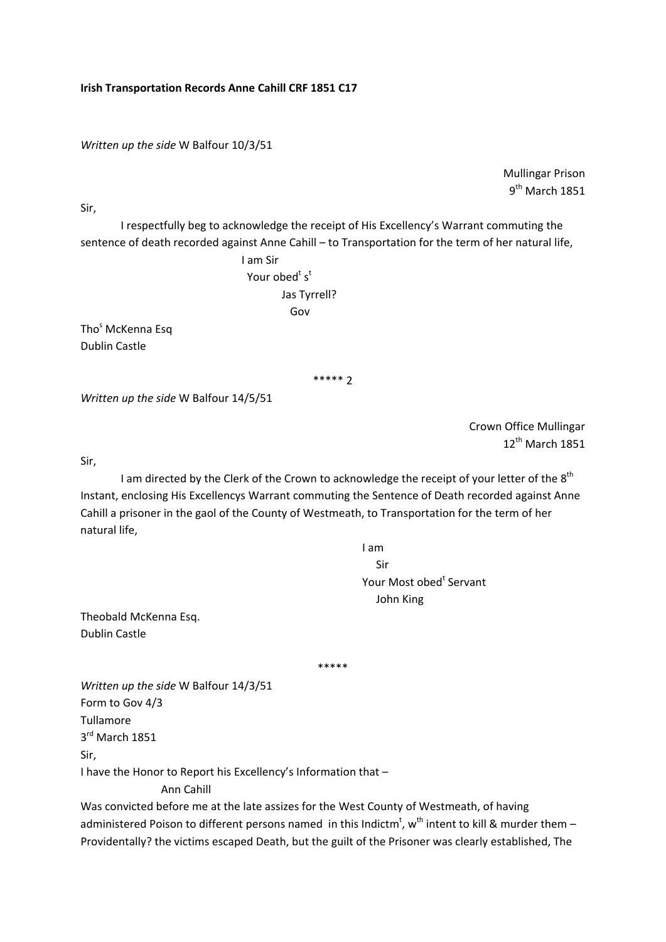*Written up the side* W Balfour 10/3/51

Mullingar Prison  $9<sup>th</sup>$  March 1851

Sir,

I respectfully beg to acknowledge the receipt of His Excellency's Warrant commuting the sentence of death recorded against Anne Cahill – to Transportation for the term of her natural life,

 I am Sir  $\frac{1}{3}$  Your obed $\frac{1}{3}$  s<sup>t</sup> Jas Tyrrell? **Governor** Constitution of the Government of the Government of the Government of the Government of the Government of the Government of the Government of the Government of the Government of the Government of the Government

Tho<sup>s</sup> McKenna Esq Dublin Castle

\*\*\*\*\* 2

*Written up the side* W Balfour 14/5/51

Crown Office Mullingar 12<sup>th</sup> March 1851

Sir,

I am directed by the Clerk of the Crown to acknowledge the receipt of your letter of the 8<sup>th</sup> Instant, enclosing His Excellencys Warrant commuting the Sentence of Death recorded against Anne Cahill a prisoner in the gaol of the County of Westmeath, to Transportation for the term of her natural life,

I am

 Sir **Example 26 Your Most obed<sup>t</sup> Servant** John King

Theobald McKenna Esq. Dublin Castle

\*\*\*\*\*

*Written up the side* W Balfour 14/3/51 Form to Gov 4/3 Tullamore 3rd March 1851 Sir, I have the Honor to Report his Excellency's Information that – Ann Cahill

Was convicted before me at the late assizes for the West County of Westmeath, of having administered Poison to different persons named in this Indictm<sup>t</sup>, w<sup>th</sup> intent to kill & murder them -Providentally? the victims escaped Death, but the guilt of the Prisoner was clearly established, The